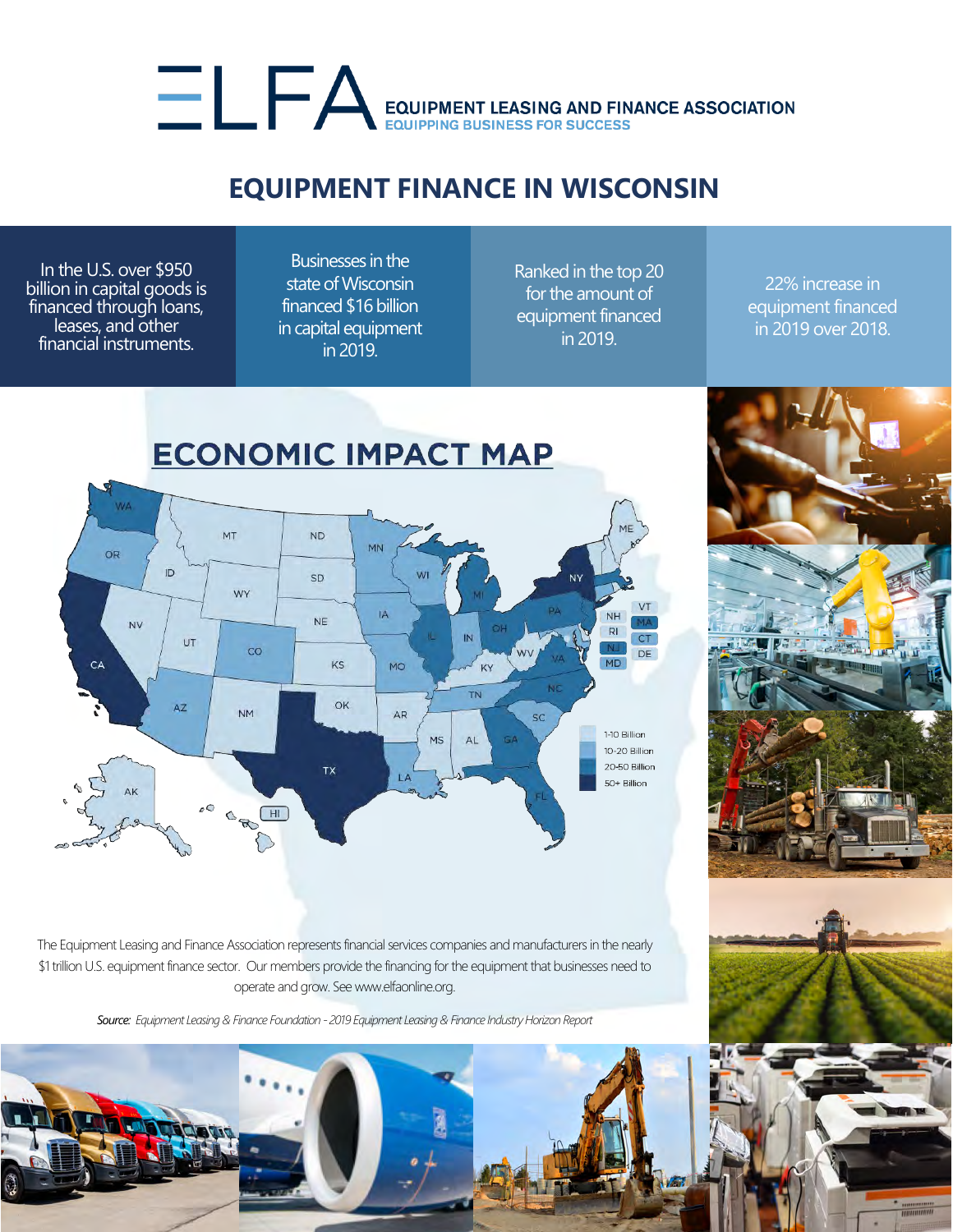## EQUIPMENT LEASING AND FINANCE ASSOCIATION

## **EQUIPMENT FINANCE IN WISCONSIN**

In the U.S. over \$950 billion in capital goods is financed through loans, leases, and other financial instruments.

Businesses in the state of Wisconsin financed \$16 billion in capital equipment in 2019.

Ranked in the top 20 for the amount of equipment financed in 2019.

22% increase in equipment financed in 2019 over 2018.



The Equipment Leasing and Finance Association represents financial services companies and manufacturers in the nearly \$1 trillion U.S. equipment finance sector. Our members provide the financing for the equipment that businesses need to operate and grow. See www.elfaonline.org.

*Source: Equipment Leasing & Finance Foundation - 2019 Equipment Leasing & Finance Industry Horizon Report*